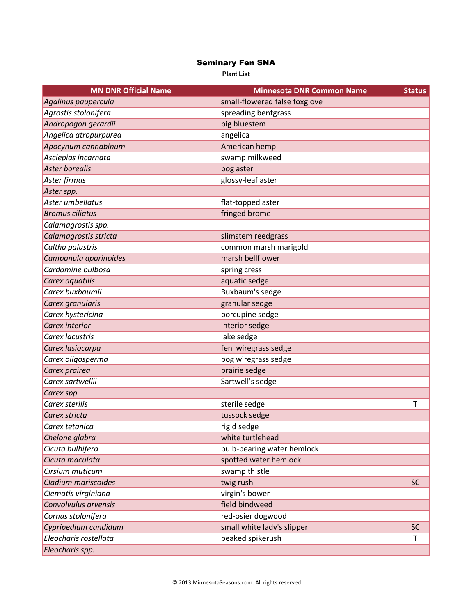## Seminary Fen SNA

**Plant List**

| <b>MN DNR Official Name</b> | <b>Minnesota DNR Common Name</b> | <b>Status</b> |
|-----------------------------|----------------------------------|---------------|
| Agalinus paupercula         | small-flowered false foxglove    |               |
| Agrostis stolonifera        | spreading bentgrass              |               |
| Andropogon gerardii         | big bluestem                     |               |
| Angelica atropurpurea       | angelica                         |               |
| Apocynum cannabinum         | American hemp                    |               |
| Asclepias incarnata         | swamp milkweed                   |               |
| <b>Aster borealis</b>       | bog aster                        |               |
| Aster firmus                | glossy-leaf aster                |               |
| Aster spp.                  |                                  |               |
| Aster umbellatus            | flat-topped aster                |               |
| <b>Bromus ciliatus</b>      | fringed brome                    |               |
| Calamagrostis spp.          |                                  |               |
| Calamagrostis stricta       | slimstem reedgrass               |               |
| Caltha palustris            | common marsh marigold            |               |
| Campanula aparinoides       | marsh bellflower                 |               |
| Cardamine bulbosa           | spring cress                     |               |
| Carex aquatilis             | aquatic sedge                    |               |
| Carex buxbaumii             | Buxbaum's sedge                  |               |
| Carex granularis            | granular sedge                   |               |
| Carex hystericina           | porcupine sedge                  |               |
| Carex interior              | interior sedge                   |               |
| Carex lacustris             | lake sedge                       |               |
| Carex lasiocarpa            | fen wiregrass sedge              |               |
| Carex oligosperma           | bog wiregrass sedge              |               |
| Carex prairea               | prairie sedge                    |               |
| Carex sartwellii            | Sartwell's sedge                 |               |
| Carex spp.                  |                                  |               |
| Carex sterilis              | sterile sedge                    | T             |
| Carex stricta               | tussock sedge                    |               |
| Carex tetanica              | rigid sedge                      |               |
| Chelone glabra              | white turtlehead                 |               |
| Cicuta bulbifera            | bulb-bearing water hemlock       |               |
| Cicuta maculata             | spotted water hemlock            |               |
| Cirsium muticum             | swamp thistle                    |               |
| Cladium mariscoides         | twig rush                        | <b>SC</b>     |
| Clematis virginiana         | virgin's bower                   |               |
| Convolvulus arvensis        | field bindweed                   |               |
| Cornus stolonifera          | red-osier dogwood                |               |
| Cypripedium candidum        | small white lady's slipper       | SC            |
| Eleocharis rostellata       | beaked spikerush                 | T             |
| Eleocharis spp.             |                                  |               |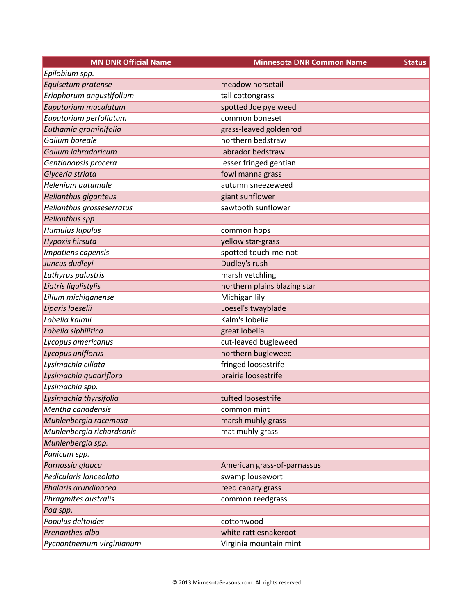| <b>MN DNR Official Name</b> | <b>Minnesota DNR Common Name</b><br><b>Status</b> |  |
|-----------------------------|---------------------------------------------------|--|
| Epilobium spp.              |                                                   |  |
| Equisetum pratense          | meadow horsetail                                  |  |
| Eriophorum angustifolium    | tall cottongrass                                  |  |
| Eupatorium maculatum        | spotted Joe pye weed                              |  |
| Eupatorium perfoliatum      | common boneset                                    |  |
| Euthamia graminifolia       | grass-leaved goldenrod                            |  |
| Galium boreale              | northern bedstraw                                 |  |
| Galium labradoricum         | labrador bedstraw                                 |  |
| Gentianopsis procera        | lesser fringed gentian                            |  |
| Glyceria striata            | fowl manna grass                                  |  |
| Helenium autumale           | autumn sneezeweed                                 |  |
| Helianthus giganteus        | giant sunflower                                   |  |
| Helianthus grosseserratus   | sawtooth sunflower                                |  |
| <b>Helianthus spp</b>       |                                                   |  |
| Humulus lupulus             | common hops                                       |  |
| Hypoxis hirsuta             | yellow star-grass                                 |  |
| Impatiens capensis          | spotted touch-me-not                              |  |
| Juncus dudleyi              | Dudley's rush                                     |  |
| Lathyrus palustris          | marsh vetchling                                   |  |
| Liatris ligulistylis        | northern plains blazing star                      |  |
| Lilium michiganense         | Michigan lily                                     |  |
| Liparis loeselii            | Loesel's twayblade                                |  |
| Lobelia kalmii              | Kalm's lobelia                                    |  |
| Lobelia siphilitica         | great lobelia                                     |  |
| Lycopus americanus          | cut-leaved bugleweed                              |  |
| Lycopus uniflorus           | northern bugleweed                                |  |
| Lysimachia ciliata          | fringed loosestrife                               |  |
| Lysimachia quadriflora      | prairie loosestrife                               |  |
| Lysimachia spp.             |                                                   |  |
| Lysimachia thyrsifolia      | tufted loosestrife                                |  |
| Mentha canadensis           | common mint                                       |  |
| Muhlenbergia racemosa       | marsh muhly grass                                 |  |
| Muhlenbergia richardsonis   | mat muhly grass                                   |  |
| Muhlenbergia spp.           |                                                   |  |
| Panicum spp.                |                                                   |  |
| Parnassia glauca            | American grass-of-parnassus                       |  |
| Pedicularis lanceolata      | swamp lousewort                                   |  |
| Phalaris arundinacea        | reed canary grass                                 |  |
| Phragmites australis        | common reedgrass                                  |  |
| Poa spp.                    |                                                   |  |
| Populus deltoides           | cottonwood                                        |  |
| Prenanthes alba             | white rattlesnakeroot                             |  |
| Pycnanthemum virginianum    | Virginia mountain mint                            |  |